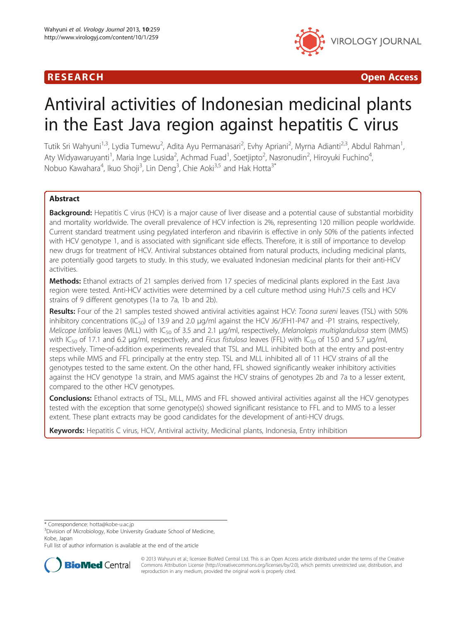## R E S EAR CH Open Access



# Antiviral activities of Indonesian medicinal plants in the East Java region against hepatitis C virus

Tutik Sri Wahyuni<sup>1,3</sup>, Lydia Tumewu<sup>2</sup>, Adita Ayu Permanasari<sup>2</sup>, Evhy Apriani<sup>2</sup>, Myrna Adianti<sup>2,3</sup>, Abdul Rahman<sup>1</sup> , Aty Widyawaruyanti<sup>1</sup>, Maria Inge Lusida<sup>2</sup>, Achmad Fuad<sup>1</sup>, Soetjipto<sup>2</sup>, Nasronudin<sup>2</sup>, Hiroyuki Fuchino<sup>4</sup> , Nobuo Kawahara<sup>4</sup>, Ikuo Shoji<sup>3</sup>, Lin Deng<sup>3</sup>, Chie Aoki<sup>3,5</sup> and Hak Hotta<sup>3\*</sup>

## Abstract

**Background:** Hepatitis C virus (HCV) is a major cause of liver disease and a potential cause of substantial morbidity and mortality worldwide. The overall prevalence of HCV infection is 2%, representing 120 million people worldwide. Current standard treatment using pegylated interferon and ribavirin is effective in only 50% of the patients infected with HCV genotype 1, and is associated with significant side effects. Therefore, it is still of importance to develop new drugs for treatment of HCV. Antiviral substances obtained from natural products, including medicinal plants, are potentially good targets to study. In this study, we evaluated Indonesian medicinal plants for their anti-HCV activities.

Methods: Ethanol extracts of 21 samples derived from 17 species of medicinal plants explored in the East Java region were tested. Anti-HCV activities were determined by a cell culture method using Huh7.5 cells and HCV strains of 9 different genotypes (1a to 7a, 1b and 2b).

Results: Four of the 21 samples tested showed antiviral activities against HCV: Toona sureni leaves (TSL) with 50% inhibitory concentrations (IC<sub>50</sub>) of 13.9 and 2.0  $\mu$ g/ml against the HCV J6/JFH1-P47 and -P1 strains, respectively, Melicope latifolia leaves (MLL) with  $IC_{50}$  of 3.5 and 2.1  $\mu$ g/ml, respectively, Melanolepis multiglandulosa stem (MMS) with IC<sub>50</sub> of 17.1 and 6.2 μg/ml, respectively, and Ficus fistulosa leaves (FFL) with IC<sub>50</sub> of 15.0 and 5.7 μg/ml, respectively. Time-of-addition experiments revealed that TSL and MLL inhibited both at the entry and post-entry steps while MMS and FFL principally at the entry step. TSL and MLL inhibited all of 11 HCV strains of all the genotypes tested to the same extent. On the other hand, FFL showed significantly weaker inhibitory activities against the HCV genotype 1a strain, and MMS against the HCV strains of genotypes 2b and 7a to a lesser extent, compared to the other HCV genotypes.

**Conclusions:** Ethanol extracts of TSL, MLL, MMS and FFL showed antiviral activities against all the HCV genotypes tested with the exception that some genotype(s) showed significant resistance to FFL and to MMS to a lesser extent. These plant extracts may be good candidates for the development of anti-HCV drugs.

Keywords: Hepatitis C virus, HCV, Antiviral activity, Medicinal plants, Indonesia, Entry inhibition

\* Correspondence: [hotta@kobe-u.ac.jp](mailto:hotta@kobe-u.ac.jp) <sup>3</sup>

Full list of author information is available at the end of the article



© 2013 Wahyuni et al.; licensee BioMed Central Ltd. This is an Open Access article distributed under the terms of the Creative Commons Attribution License [\(http://creativecommons.org/licenses/by/2.0\)](http://creativecommons.org/licenses/by/2.0), which permits unrestricted use, distribution, and reproduction in any medium, provided the original work is properly cited.

<sup>&</sup>lt;sup>3</sup>Division of Microbiology, Kobe University Graduate School of Medicine, Kobe, Japan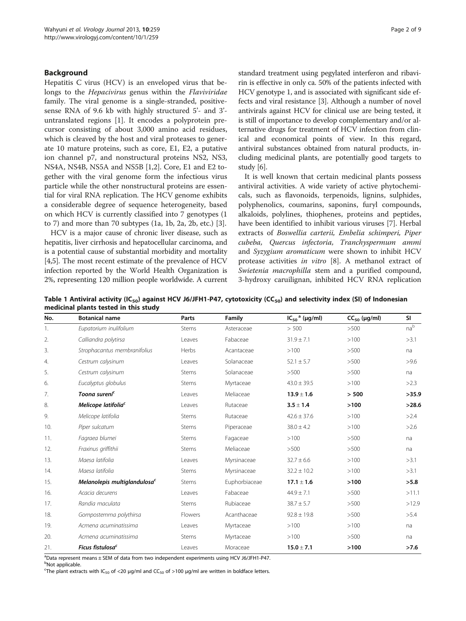#### <span id="page-1-0"></span>Background

Hepatitis C virus (HCV) is an enveloped virus that belongs to the *Hepacivirus* genus within the *Flaviviridae* family. The viral genome is a single-stranded, positivesense RNA of 9.6 kb with highly structured 5'- and 3' untranslated regions [[1\]](#page-7-0). It encodes a polyprotein precursor consisting of about 3,000 amino acid residues, which is cleaved by the host and viral proteases to generate 10 mature proteins, such as core, E1, E2, a putative ion channel p7, and nonstructural proteins NS2, NS3, NS4A, NS4B, NS5A and NS5B [\[1,2](#page-7-0)]. Core, E1 and E2 together with the viral genome form the infectious virus particle while the other nonstructural proteins are essential for viral RNA replication. The HCV genome exhibits a considerable degree of sequence heterogeneity, based on which HCV is currently classified into 7 genotypes (1 to 7) and more than 70 subtypes (1a, 1b, 2a, 2b, etc.) [\[3](#page-7-0)].

HCV is a major cause of chronic liver disease, such as hepatitis, liver cirrhosis and hepatocellular carcinoma, and is a potential cause of substantial morbidity and mortality [[4,5](#page-7-0)]. The most recent estimate of the prevalence of HCV infection reported by the World Health Organization is 2%, representing 120 million people worldwide. A current standard treatment using pegylated interferon and ribavirin is effective in only ca. 50% of the patients infected with HCV genotype 1, and is associated with significant side effects and viral resistance [[3\]](#page-7-0). Although a number of novel antivirals against HCV for clinical use are being tested, it is still of importance to develop complementary and/or alternative drugs for treatment of HCV infection from clinical and economical points of view. In this regard, antiviral substances obtained from natural products, including medicinal plants, are potentially good targets to study [[6\]](#page-7-0).

It is well known that certain medicinal plants possess antiviral activities. A wide variety of active phytochemicals, such as flavonoids, terpenoids, lignins, sulphides, polyphenolics, coumarins, saponins, furyl compounds, alkaloids, polylines, thiophenes, proteins and peptides, have been identified to inhibit various viruses [[7\]](#page-7-0). Herbal extracts of Boswellia carterii, Embelia schimperi, Piper cubeba, Quercus infectoria, Tranchyspermum ammi and Syzygium aromaticum were shown to inhibit HCV protease activities in vitro [[8\]](#page-8-0). A methanol extract of Swietenia macrophilla stem and a purified compound, 3-hydroxy caruilignan, inhibited HCV RNA replication

Table 1 Antiviral activity (IC<sub>50</sub>) against HCV J6/JFH1-P47, cytotoxicity (CC<sub>50</sub>) and selectivity index (SI) of Indonesian medicinal plants tested in this study

| No.                   | <b>Botanical name</b>                    | Parts   | Family        | $IC_{50}$ <sup>a</sup> (µg/ml) | $CC_{50}$ (µg/ml) | SI              |
|-----------------------|------------------------------------------|---------|---------------|--------------------------------|-------------------|-----------------|
| 1.                    | Eupatorium inulifolium                   | Stems   | Asteraceae    | > 500                          | >500              | na <sup>b</sup> |
| 2.                    | Calliandra polytirsa                     | Leaves  | Fabaceae      | $31.9 \pm 7.1$                 | >100              | >3.1            |
| 3.                    | Strophacantus membranifolius             | Herbs   | Acantaceae    | >100                           | >500              | na              |
| $\mathcal{A}_{\cdot}$ | Cestrum calysinum                        | Leaves  | Solanaceae    | $52.1 \pm 5.7$                 | >500              | >9.6            |
| 5.                    | Cestrum calysinum                        | Stems   | Solanaceae    | >500                           | >500              | na              |
| 6.                    | Eucalyptus globulus                      | Stems   | Myrtaceae     | $43.0 \pm 39.5$                | >100              | >2.3            |
| 7.                    | Toona sureni <sup>c</sup>                | Leaves  | Meliaceae     | $13.9 \pm 1.6$                 | > 500             | >35.9           |
| 8.                    | Melicope latifolia <sup>c</sup>          | Leaves  | Rutaceae      | $3.5 \pm 1.4$                  | >100              | >28.6           |
| 9.                    | Melicope latifolia                       | Stems   | Rutaceae      | $42.6 \pm 37.6$                | >100              | >2.4            |
| 10.                   | Piper sulcatum                           | Stems   | Piperaceae    | $38.0 \pm 4.2$                 | >100              | >2.6            |
| 11.                   | Fagraea blumei                           | Stems   | Fagaceae      | >100                           | >500              | na              |
| 12.                   | Fraxinus griffithii                      | Stems   | Meliaceae     | >500                           | >500              | na              |
| 13.                   | Maesa latifolia                          | Leaves  | Myrsinaceae   | $32.7 \pm 6.6$                 | >100              | >3.1            |
| 14.                   | Maesa latifolia                          | Stems   | Myrsinaceae   | $32.2 \pm 10.2$                | >100              | >3.1            |
| 15.                   | Melanolepis multiglandulosa <sup>c</sup> | Stems   | Euphorbiaceae | $17.1 \pm 1.6$                 | >100              | >5.8            |
| 16.                   | Acacia decurens                          | Leaves  | Fabaceae      | $44.9 \pm 7.1$                 | >500              | >11.1           |
| 17.                   | Randia maculata                          | Stems   | Rubiaceae     | $38.7 \pm 5.7$                 | >500              | >12.9           |
| 18.                   | Gompostemma polythirsa                   | Flowers | Acanthaceae   | $92.8 \pm 19.8$                | >500              | >5.4            |
| 19.                   | Acmena acuminatissima                    | Leaves  | Myrtaceae     | >100                           | >100              | na              |
| 20.                   | Acmena acuminatissima                    | Stems   | Myrtaceae     | >100                           | >500              | na              |
| 21.                   | Ficus fistulosa <sup>c</sup>             | Leaves  | Moraceae      | $15.0 \pm 7.1$                 | >100              | >7.6            |

<sup>a</sup>Data represent means ± SEM of data from two independent experiments using HCV J6/JFH1-P47.

<sup>b</sup>Not applicable.

<sup>c</sup>The plant extracts with IC<sub>50</sub> of <20  $\mu$ g/ml and CC<sub>50</sub> of >100  $\mu$ g/ml are written in boldface letters.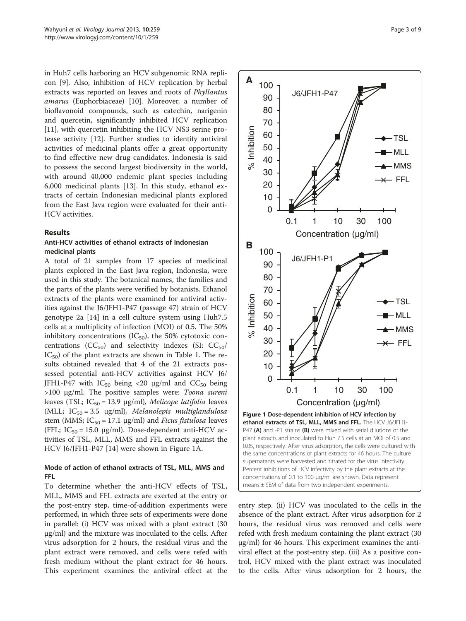<span id="page-2-0"></span>in Huh7 cells harboring an HCV subgenomic RNA replicon [\[9](#page-8-0)]. Also, inhibition of HCV replication by herbal extracts was reported on leaves and roots of Phyllantus amarus (Euphorbiaceae) [[10\]](#page-8-0). Moreover, a number of bioflavonoid compounds, such as catechin, narigenin and quercetin, significantly inhibited HCV replication [[11\]](#page-8-0), with quercetin inhibiting the HCV NS3 serine protease activity [\[12](#page-8-0)]. Further studies to identify antiviral activities of medicinal plants offer a great opportunity to find effective new drug candidates. Indonesia is said to possess the second largest biodiversity in the world, with around 40,000 endemic plant species including 6,000 medicinal plants [[13\]](#page-8-0). In this study, ethanol extracts of certain Indonesian medicinal plants explored from the East Java region were evaluated for their anti-HCV activities.

## Results

## Anti-HCV activities of ethanol extracts of Indonesian medicinal plants

A total of 21 samples from 17 species of medicinal plants explored in the East Java region, Indonesia, were used in this study. The botanical names, the families and the parts of the plants were verified by botanists. Ethanol extracts of the plants were examined for antiviral activities against the J6/JFH1-P47 (passage 47) strain of HCV genotype 2a [\[14\]](#page-8-0) in a cell culture system using Huh7.5 cells at a multiplicity of infection (MOI) of 0.5. The 50% inhibitory concentrations (IC $_{50}$ ), the 50% cytotoxic concentrations ( $CC_{50}$ ) and selectivity indexes (SI:  $CC_{50}$ /  $IC_{50}$ ) of the plant extracts are shown in Table [1](#page-1-0). The results obtained revealed that 4 of the 21 extracts possessed potential anti-HCV activities against HCV J6/ JFH1-P47 with  $IC_{50}$  being <20  $\mu$ g/ml and  $CC_{50}$  being >100 μg/ml. The positive samples were: Toona sureni leaves (TSL; IC<sub>50</sub> = 13.9 μg/ml), Melicope latifolia leaves (MLL;  $IC_{50} = 3.5$   $\mu$ g/ml), Melanolepis multiglandulosa stem (MMS;  $IC_{50} = 17.1$   $\mu$ g/ml) and *Ficus fistulosa* leaves (FFL;  $IC_{50} = 15.0 \text{ µg/ml}$ ). Dose-dependent anti-HCV activities of TSL, MLL, MMS and FFL extracts against the HCV J6/JFH1-P47 [\[14](#page-8-0)] were shown in Figure 1A.

## Mode of action of ethanol extracts of TSL, MLL, MMS and FFL

To determine whether the anti-HCV effects of TSL, MLL, MMS and FFL extracts are exerted at the entry or the post-entry step, time-of-addition experiments were performed, in which three sets of experiments were done in parallel: (i) HCV was mixed with a plant extract (30 μg/ml) and the mixture was inoculated to the cells. After virus adsorption for 2 hours, the residual virus and the plant extract were removed, and cells were refed with fresh medium without the plant extract for 46 hours. This experiment examines the antiviral effect at the



entry step. (ii) HCV was inoculated to the cells in the absence of the plant extract. After virus adsorption for 2 hours, the residual virus was removed and cells were refed with fresh medium containing the plant extract (30 μg/ml) for 46 hours. This experiment examines the antiviral effect at the post-entry step. (iii) As a positive control, HCV mixed with the plant extract was inoculated to the cells. After virus adsorption for 2 hours, the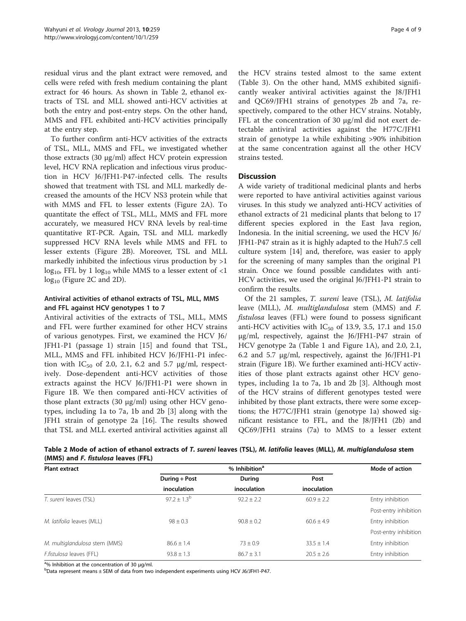<span id="page-3-0"></span>residual virus and the plant extract were removed, and cells were refed with fresh medium containing the plant extract for 46 hours. As shown in Table 2, ethanol extracts of TSL and MLL showed anti-HCV activities at both the entry and post-entry steps. On the other hand, MMS and FFL exhibited anti-HCV activities principally at the entry step.

To further confirm anti-HCV activities of the extracts of TSL, MLL, MMS and FFL, we investigated whether those extracts (30 μg/ml) affect HCV protein expression level, HCV RNA replication and infectious virus production in HCV J6/JFH1-P47-infected cells. The results showed that treatment with TSL and MLL markedly decreased the amounts of the HCV NS3 protein while that with MMS and FFL to lesser extents (Figure [2A](#page-4-0)). To quantitate the effect of TSL, MLL, MMS and FFL more accurately, we measured HCV RNA levels by real-time quantitative RT-PCR. Again, TSL and MLL markedly suppressed HCV RNA levels while MMS and FFL to lesser extents (Figure [2](#page-4-0)B). Moreover, TSL and MLL markedly inhibited the infectious virus production by >1  $\log_{10}$ , FFL by 1  $\log_{10}$  while MMS to a lesser extent of <1  $log_{10}$  (Figure [2](#page-4-0)C and [2D](#page-4-0)).

## Antiviral activities of ethanol extracts of TSL, MLL, MMS and FFL against HCV genotypes 1 to 7

Antiviral activities of the extracts of TSL, MLL, MMS and FFL were further examined for other HCV strains of various genotypes. First, we examined the HCV J6/ JFH1-P1 (passage 1) strain [[15\]](#page-8-0) and found that TSL, MLL, MMS and FFL inhibited HCV J6/JFH1-P1 infection with  $IC_{50}$  of 2.0, 2.1, 6.2 and 5.7  $\mu$ g/ml, respectively. Dose-dependent anti-HCV activities of those extracts against the HCV J6/JFH1-P1 were shown in Figure [1B](#page-2-0). We then compared anti-HCV activities of those plant extracts (30 μg/ml) using other HCV genotypes, including 1a to 7a, 1b and 2b [\[3](#page-7-0)] along with the JFH1 strain of genotype 2a [[16\]](#page-8-0). The results showed that TSL and MLL exerted antiviral activities against all

the HCV strains tested almost to the same extent (Table [3](#page-5-0)). On the other hand, MMS exhibited significantly weaker antiviral activities against the J8/JFH1 and QC69/JFH1 strains of genotypes 2b and 7a, respectively, compared to the other HCV strains. Notably, FFL at the concentration of 30 μg/ml did not exert detectable antiviral activities against the H77C/JFH1 strain of genotype 1a while exhibiting >90% inhibition at the same concentration against all the other HCV strains tested.

## **Discussion**

A wide variety of traditional medicinal plants and herbs were reported to have antiviral activities against various viruses. In this study we analyzed anti-HCV activities of ethanol extracts of 21 medicinal plants that belong to 17 different species explored in the East Java region, Indonesia. In the initial screening, we used the HCV J6/ JFH1-P47 strain as it is highly adapted to the Huh7.5 cell culture system [\[14](#page-8-0)] and, therefore, was easier to apply for the screening of many samples than the original P1 strain. Once we found possible candidates with anti-HCV activities, we used the original J6/JFH1-P1 strain to confirm the results.

Of the 21 samples, T. sureni leave (TSL), M. latifolia leave (MLL), M. multiglandulosa stem (MMS) and F. fistulosa leaves (FFL) were found to possess significant anti-HCV activities with  $IC_{50}$  of 13.9, 3.5, 17.1 and 15.0 μg/ml, respectively, against the J6/JFH1-P47 strain of HCV genotype 2a (Table [1](#page-1-0) and Figure [1](#page-2-0)A), and 2.0, 2.1, 6.2 and 5.7 μg/ml, respectively, against the J6/JFH1-P1 strain (Figure [1B](#page-2-0)). We further examined anti-HCV activities of those plant extracts against other HCV genotypes, including 1a to 7a, 1b and 2b [\[3](#page-7-0)]. Although most of the HCV strains of different genotypes tested were inhibited by those plant extracts, there were some exceptions; the H77C/JFH1 strain (genotype 1a) showed significant resistance to FFL, and the J8/JFH1 (2b) and QC69/JFH1 strains (7a) to MMS to a lesser extent

Table 2 Mode of action of ethanol extracts of T. sureni leaves (TSL), M. latifolia leaves (MLL), M. multiglandulosa stem (MMS) and F. fistulosa leaves (FFL)

| <b>Plant extract</b>          |                  | Mode of action |                |                       |  |
|-------------------------------|------------------|----------------|----------------|-----------------------|--|
|                               | During + Post    | During         | Post           |                       |  |
|                               | inoculation      | inoculation    | inoculation    |                       |  |
| T. sureni leaves (TSL)        | $97.2 + 1.3^{b}$ | $92.2 + 2.2$   | $60.9 + 2.2$   | Entry inhibition      |  |
|                               |                  |                |                | Post-entry inhibition |  |
| M. latifolia leaves (MLL)     | $98 \pm 0.3$     | $90.8 \pm 0.2$ | $60.6 + 4.9$   | Entry inhibition      |  |
|                               |                  |                |                | Post-entry inhibition |  |
| M. multiglandulosa stem (MMS) | $86.6 \pm 1.4$   | $73 \pm 0.9$   | $33.5 \pm 1.4$ | Entry inhibition      |  |
| F.fistulosa leaves (FFL)      | $93.8 \pm 1.3$   | $86.7 \pm 3.1$ | $20.5 \pm 2.6$ | Entry inhibition      |  |

<sup>a</sup>% Inhibition at the concentration of 30 μg/ml.<br><sup>b</sup>Data represent means + SEM of data from two

 $b$ Data represent means  $\pm$  SEM of data from two independent experiments using HCV J6/JFH1-P47.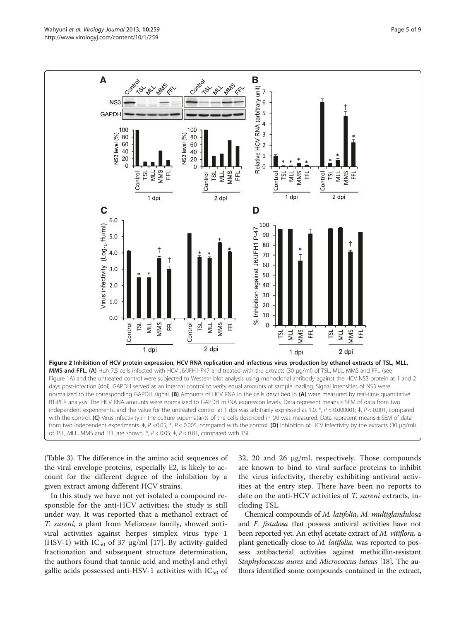<span id="page-4-0"></span>

of TSL, MLL, MMS and FFL are shown. \*, P < 0.05; \#, P < 0.01, compared with TSL.

(Table [3](#page-5-0)). The difference in the amino acid sequences of the viral envelope proteins, especially E2, is likely to account for the different degree of the inhibition by a given extract among different HCV strains.

In this study we have not yet isolated a compound responsible for the anti-HCV activities; the study is still under way. It was reported that a methanol extract of T. sureni, a plant from Meliaceae family, showed antiviral activities against herpes simplex virus type 1 (HSV-1) with  $IC_{50}$  of 37 µg/ml [[17\]](#page-8-0). By activity-guided fractionation and subsequent structure determination, the authors found that tannic acid and methyl and ethyl gallic acids possessed anti-HSV-1 activities with  $IC_{50}$  of

32, 20 and 26 μg/ml, respectively. Those compounds are known to bind to viral surface proteins to inhibit the virus infectivity, thereby exhibiting antiviral activities at the entry step. There have been no reports to date on the anti-HCV activities of T. sureni extracts, including TSL.

Chemical compounds of M. latifolia, M. multiglandulosa and F. fistulosa that possess antiviral activities have not been reported yet. An ethyl acetate extract of M. vitiflora, a plant genetically close to M. latifolia, was reported to possess antibacterial activities against methicillin-resistant Staphylococcus aures and Micrococcus luteus [\[18](#page-8-0)]. The authors identified some compounds contained in the extract,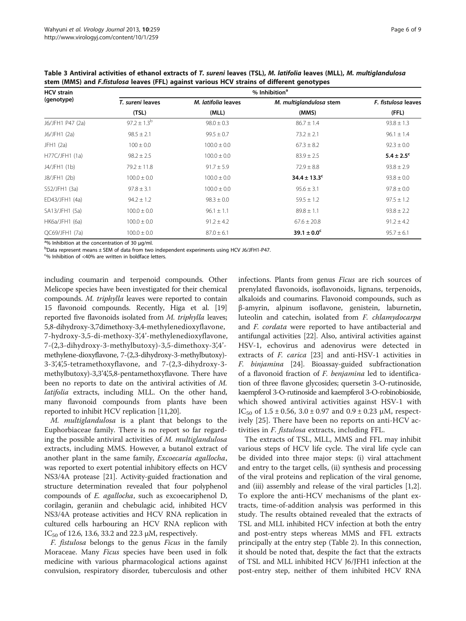| <b>HCV</b> strain | % Inhibition <sup>a</sup> |                     |                         |                              |  |  |  |
|-------------------|---------------------------|---------------------|-------------------------|------------------------------|--|--|--|
| (genotype)        | T. sureni leaves          | M. latifolia leaves | M. multiglandulosa stem | F. fistulosa leaves<br>(FFL) |  |  |  |
|                   | (TSL)                     | (MLL)               | (MMS)                   |                              |  |  |  |
| J6/JFH1 P47 (2a)  | $97.2 \pm 1.3^{b}$        | $98.0 \pm 0.3$      | $86.7 \pm 1.4$          | $93.8 \pm 1.3$               |  |  |  |
| J6/JFH1 (2a)      | $98.5 \pm 2.1$            | $99.5 \pm 0.7$      | $73.2 \pm 2.1$          | $96.1 \pm 1.4$               |  |  |  |
| JFH1 (2a)         | $100 \pm 0.0$             | $100.0 \pm 0.0$     | $67.3 \pm 8.2$          | $92.3 \pm 0.0$               |  |  |  |
| H77C/JFH1(1a)     | $98.2 \pm 2.5$            | $100.0 \pm 0.0$     | $83.9 \pm 2.5$          | $5.4 \pm 2.5^{\circ}$        |  |  |  |
| J4/JFH1 (1b)      | $79.2 \pm 11.8$           | $91.7 \pm 5.9$      | $72.9 \pm 8.8$          | $93.8 \pm 2.9$               |  |  |  |
| J8/JFH1 (2b)      | $100.0 \pm 0.0$           | $100.0 \pm 0.0$     | $34.4 \pm 13.3^c$       | $93.8 \pm 0.0$               |  |  |  |
| S52/JFH1 (3a)     | $97.8 \pm 3.1$            | $100.0 \pm 0.0$     | $95.6 \pm 3.1$          | $97.8 \pm 0.0$               |  |  |  |
| ED43/JFH1 (4a)    | $94.2 \pm 1.2$            | $98.3 \pm 0.0$      | $59.5 \pm 1.2$          | $97.5 \pm 1.2$               |  |  |  |
| SA13/JFH1 (5a)    | $100.0 \pm 0.0$           | $96.1 \pm 1.1$      | $89.8 \pm 1.1$          | $93.8 \pm 2.2$               |  |  |  |
| HK6a/JFH1 (6a)    | $100.0 \pm 0.0$           | $91.2 \pm 4.2$      | $67.6 \pm 20.8$         | $91.2 \pm 4.2$               |  |  |  |
| QC69/JFH1 (7a)    | $100.0 \pm 0.0$           | $87.0 \pm 6.1$      | $39.1 \pm 0.0^c$        | $95.7 \pm 6.1$               |  |  |  |

<span id="page-5-0"></span>Table 3 Antiviral activities of ethanol extracts of T. sureni leaves (TSL), M. latifolia leaves (MLL), M. multiglandulosa stem (MMS) and F.fistulosa leaves (FFL) against various HCV strains of different genotypes

<sup>a</sup>% Inhibition at the concentration of 30 μg/ml.<br><sup>b</sup>Data represent means + SEM of data from two

bData represent means ± SEM of data from two independent experiments using HCV J6/JFH1-P47.

<sup>c</sup>% Inhibition of <40% are written in boldface letters.

including coumarin and terpenoid compounds. Other Melicope species have been investigated for their chemical compounds. M. triphylla leaves were reported to contain 15 flavonoid compounds. Recently, Higa et al. [[19](#page-8-0)] reported five flavonoids isolated from M. triphylla leaves; 5,8-dihydroxy-3,7dimethoxy-3,4-methylenedioxyflavone, 7-hydroxy-3,5-di-methoxy-3',4'-methylenedioxyflavone, 7-(2,3-dihydroxy-3-methylbutoxy)-3,5-dimethoxy-3',4' methylene-dioxyflavone, 7-(2,3-dihydroxy-3-methylbutoxy)- 3-3',4',5-tetramethoxyflavone, and 7-(2,3-dihydroxy-3 methylbutoxy)-3,3'4',5,8-pentamethoxyflavone. There have been no reports to date on the antiviral activities of M. latifolia extracts, including MLL. On the other hand, many flavonoid compounds from plants have been reported to inhibit HCV replication [[11,20](#page-8-0)].

M. multiglandulosa is a plant that belongs to the Euphorbiaceae family. There is no report so far regarding the possible antiviral activities of M. multiglandulosa extracts, including MMS. However, a butanol extract of another plant in the same family, Excoecaria agallocha, was reported to exert potential inhibitory effects on HCV NS3/4A protease [[21\]](#page-8-0). Activity-guided fractionation and structure determination revealed that four polyphenol compounds of E. agallocha, such as excoecariphenol D, corilagin, geraniin and chebulagic acid, inhibited HCV NS3/4A protease activities and HCV RNA replication in cultured cells harbouring an HCV RNA replicon with IC<sub>50</sub> of 12.6, 13.6, 33.2 and 22.3 μM, respectively.

F. fistulosa belongs to the genus Ficus in the family Moraceae. Many Ficus species have been used in folk medicine with various pharmacological actions against convulsion, respiratory disorder, tuberculosis and other infections. Plants from genus Ficus are rich sources of prenylated flavonoids, isoflavonoids, lignans, terpenoids, alkaloids and coumarins. Flavonoid compounds, such as β-amyrin, alpinum isoflavone, genistein, laburnetin, luteolin and catechin, isolated from F. chlamydocarpa and F. cordata were reported to have antibacterial and antifungal activities [\[22](#page-8-0)]. Also, antiviral activities against HSV-1, echovirus and adenovirus were detected in extracts of F. carica [\[23](#page-8-0)] and anti-HSV-1 activities in F. binjamina [[24](#page-8-0)]. Bioassay-guided subfractionation of a flavonoid fraction of F. benjamina led to identification of three flavone glycosides; quersetin 3-O-rutinoside, kaempferol 3-O-rutinoside and kaempferol 3-O-robinobioside, which showed antiviral activities against HSV-1 with IC<sub>50</sub> of 1.5 ± 0.56, 3.0 ± 0.97 and 0.9 ± 0.23 μM, respectively [[25](#page-8-0)]. There have been no reports on anti-HCV activities in F. fistulosa extracts, including FFL.

The extracts of TSL, MLL, MMS and FFL may inhibit various steps of HCV life cycle. The viral life cycle can be divided into three major steps: (i) viral attachment and entry to the target cells, (ii) synthesis and processing of the viral proteins and replication of the viral genome, and (iii) assembly and release of the viral particles [\[1,2](#page-7-0)]. To explore the anti-HCV mechanisms of the plant extracts, time-of-addition analysis was performed in this study. The results obtained revealed that the extracts of TSL and MLL inhibited HCV infection at both the entry and post-entry steps whereas MMS and FFL extracts principally at the entry step (Table [2](#page-3-0)). In this connection, it should be noted that, despite the fact that the extracts of TSL and MLL inhibited HCV J6/JFH1 infection at the post-entry step, neither of them inhibited HCV RNA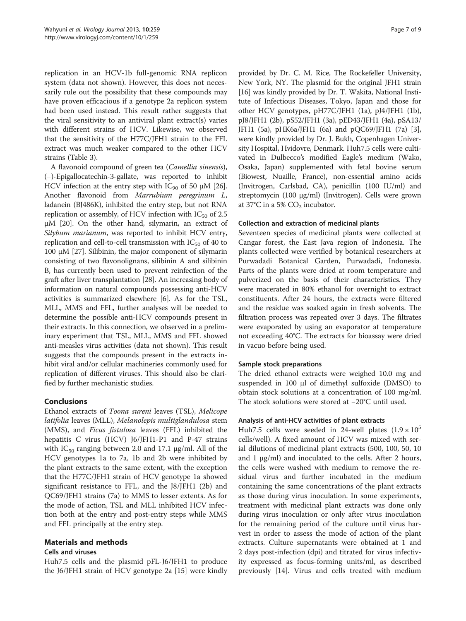replication in an HCV-1b full-genomic RNA replicon system (data not shown). However, this does not necessarily rule out the possibility that these compounds may have proven efficacious if a genotype 2a replicon system had been used instead. This result rather suggests that the viral sensitivity to an antiviral plant extract(s) varies with different strains of HCV. Likewise, we observed that the sensitivity of the H77C/JFH1 strain to the FFL extract was much weaker compared to the other HCV strains (Table [3\)](#page-5-0).

A flavonoid compound of green tea (Camellia sinensis), (−)-Epigallocatechin-3-gallate, was reported to inhibit HCV infection at the entry step with  $IC_{90}$  of 50  $\mu$ M [[26](#page-8-0)]. Another flavonoid from Marrubium peregrinum L, ladanein (BJ486K), inhibited the entry step, but not RNA replication or assembly, of HCV infection with  $IC_{50}$  of 2.5 μM [\[20](#page-8-0)]. On the other hand, silymarin, an extract of Silybum marianum, was reported to inhibit HCV entry, replication and cell-to-cell transmission with  $IC_{50}$  of 40 to 100 μM [\[27\]](#page-8-0). Silibinin, the major component of silymarin consisting of two flavonolignans, silibinin A and silibinin B, has currently been used to prevent reinfection of the graft after liver transplantation [[28](#page-8-0)]. An increasing body of information on natural compounds possessing anti-HCV activities is summarized elsewhere [[6\]](#page-7-0). As for the TSL, MLL, MMS and FFL, further analyses will be needed to determine the possible anti-HCV compounds present in their extracts. In this connection, we observed in a preliminary experiment that TSL, MLL, MMS and FFL showed anti-measles virus activities (data not shown). This result suggests that the compounds present in the extracts inhibit viral and/or cellular machineries commonly used for replication of different viruses. This should also be clarified by further mechanistic studies.

## Conclusions

Ethanol extracts of Toona sureni leaves (TSL), Melicope latifolia leaves (MLL), Melanolepis multiglandulosa stem (MMS), and Ficus fistulosa leaves (FFL) inhibited the hepatitis C virus (HCV) J6/JFH1-P1 and P-47 strains with  $IC_{50}$  ranging between 2.0 and 17.1  $\mu$ g/ml. All of the HCV genotypes 1a to 7a, 1b and 2b were inhibited by the plant extracts to the same extent, with the exception that the H77C/JFH1 strain of HCV genotype 1a showed significant resistance to FFL, and the J8/JFH1 (2b) and QC69/JFH1 strains (7a) to MMS to lesser extents. As for the mode of action, TSL and MLL inhibited HCV infection both at the entry and post-entry steps while MMS and FFL principally at the entry step.

## Materials and methods

## Cells and viruses

Huh7.5 cells and the plasmid pFL-J6/JFH1 to produce the J6/JFH1 strain of HCV genotype 2a [\[15](#page-8-0)] were kindly

provided by Dr. C. M. Rice, The Rockefeller University, New York, NY. The plasmid for the original JFH1 strain [[16](#page-8-0)] was kindly provided by Dr. T. Wakita, National Institute of Infectious Diseases, Tokyo, Japan and those for other HCV genotypes, pH77C/JFH1 (1a), pJ4/JFH1 (1b), pJ8/JFH1 (2b), pS52/JFH1 (3a), pED43/JFH1 (4a), pSA13/ JFH1 (5a), pHK6a/JFH1 (6a) and pQC69/JFH1 (7a) [[3](#page-7-0)], were kindly provided by Dr. J. Bukh, Copenhagen University Hospital, Hvidovre, Denmark. Huh7.5 cells were cultivated in Dulbecco's modified Eagle's medium (Wako, Osaka, Japan) supplemented with fetal bovine serum (Biowest, Nuaille, France), non-essential amino acids (Invitrogen, Carlsbad, CA), penicillin (100 IU/ml) and streptomycin (100 μg/ml) (Invitrogen). Cells were grown at 37°C in a 5%  $CO<sub>2</sub>$  incubator.

## Collection and extraction of medicinal plants

Seventeen species of medicinal plants were collected at Cangar forest, the East Java region of Indonesia. The plants collected were verified by botanical researchers at Purwadadi Botanical Garden, Purwadadi, Indonesia. Parts of the plants were dried at room temperature and pulverized on the basis of their characteristics. They were macerated in 80% ethanol for overnight to extract constituents. After 24 hours, the extracts were filtered and the residue was soaked again in fresh solvents. The filtration process was repeated over 3 days. The filtrates were evaporated by using an evaporator at temperature not exceeding 40°C. The extracts for bioassay were dried in vacuo before being used.

## Sample stock preparations

The dried ethanol extracts were weighed 10.0 mg and suspended in 100 μl of dimethyl sulfoxide (DMSO) to obtain stock solutions at a concentration of 100 mg/ml. The stock solutions were stored at −20°C until used.

## Analysis of anti-HCV activities of plant extracts

Huh7.5 cells were seeded in 24-well plates  $(1.9 \times 10^5$ cells/well). A fixed amount of HCV was mixed with serial dilutions of medicinal plant extracts (500, 100, 50, 10 and 1 μg/ml) and inoculated to the cells. After 2 hours, the cells were washed with medium to remove the residual virus and further incubated in the medium containing the same concentrations of the plant extracts as those during virus inoculation. In some experiments, treatment with medicinal plant extracts was done only during virus inoculation or only after virus inoculation for the remaining period of the culture until virus harvest in order to assess the mode of action of the plant extracts. Culture supernatants were obtained at 1 and 2 days post-infection (dpi) and titrated for virus infectivity expressed as focus-forming units/ml, as described previously [\[14\]](#page-8-0). Virus and cells treated with medium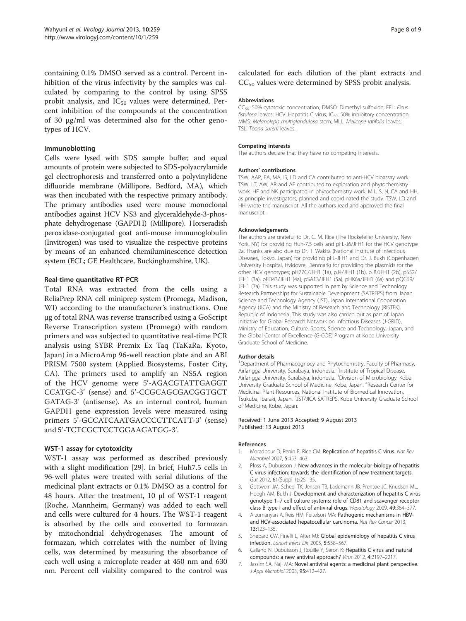<span id="page-7-0"></span>containing 0.1% DMSO served as a control. Percent inhibition of the virus infectivity by the samples was calculated by comparing to the control by using SPSS probit analysis, and  $IC_{50}$  values were determined. Percent inhibition of the compounds at the concentration of 30 μg/ml was determined also for the other genotypes of HCV.

#### Immunoblotting

Cells were lysed with SDS sample buffer, and equal amounts of protein were subjected to SDS-polyacrylamide gel electrophoresis and transferred onto a polyvinylidene difluoride membrane (Millipore, Bedford, MA), which was then incubated with the respective primary antibody. The primary antibodies used were mouse monoclonal antibodies against HCV NS3 and glyceraldehyde-3-phosphate dehydrogenase (GAPDH) (Millipore). Horseradish peroxidase-conjugated goat anti-mouse immunoglobulin (Invitrogen) was used to visualize the respective proteins by means of an enhanced chemiluminescence detection system (ECL; GE Healthcare, Buckinghamshire, UK).

#### Real-time quantitative RT-PCR

Total RNA was extracted from the cells using a ReliaPrep RNA cell miniprep system (Promega, Madison, WI) according to the manufacturer's instructions. One μg of total RNA was reverse transcribed using a GoScript Reverse Transcription system (Promega) with random primers and was subjected to quantitative real-time PCR analysis using SYBR Premix Ex Taq (TaKaRa, Kyoto, Japan) in a MicroAmp 96-well reaction plate and an ABI PRISM 7500 system (Applied Biosystems, Foster City, CA). The primers used to amplify an NS5A region of the HCV genome were 5'-AGACGTATTGAGGT CCATGC-3' (sense) and 5'-CCGCAGCGACGGTGCT GATAG-3' (antisense). As an internal control, human GAPDH gene expression levels were measured using primers 5'-GCCATCAATGACCCCTTCATT-3' (sense) and 5'-TCTCGCTCCTGGAAGATGG-3'.

#### WST-1 assay for cytotoxicity

WST-1 assay was performed as described previously with a slight modification [\[29\]](#page-8-0). In brief, Huh7.5 cells in 96-well plates were treated with serial dilutions of the medicinal plant extracts or 0.1% DMSO as a control for 48 hours. After the treatment, 10 μl of WST-1 reagent (Roche, Mannheim, Germany) was added to each well and cells were cultured for 4 hours. The WST-1 reagent is absorbed by the cells and converted to formazan by mitochondrial dehydrogenases. The amount of formazan, which correlates with the number of living cells, was determined by measuring the absorbance of each well using a microplate reader at 450 nm and 630 nm. Percent cell viability compared to the control was

calculated for each dilution of the plant extracts and  $CC_{50}$  values were determined by SPSS probit analysis.

#### Abbreviations

CC<sub>50</sub>: 50% cytotoxic concentration; DMSO: Dimethyl sulfoxide; FFL: Ficus fistulosa leaves; HCV: Hepatitis C virus; IC $_{50}$ : 50% inhibitory concentration; MMS: Melanolepis multiglandulosa stem; MLL: Melicope latifolia leaves; TSL: Toona sureni leaves.

#### Competing interests

The authors declare that they have no competing interests.

#### Authors' contributions

TSW, AAP, EA, MA, IS, LD and CA contributed to anti-HCV bioassay work. TSW, LT, AW, AR and AF contributed to exploration and phytochemistry work. HF and NK participated in phytochemistry work. MIL, S, N, CA and HH, as principle investigators, planned and coordinated the study. TSW, LD and HH wrote the manuscript. All the authors read and approved the final manuscript.

#### Acknowledgements

The authors are grateful to Dr. C. M. Rice (The Rockefeller University, New York, NY) for providing Huh-7.5 cells and pFL-J6/JFH1 for the HCV genotype 2a. Thanks are also due to Dr. T. Wakita (National Institute of Infectious Diseases, Tokyo, Japan) for providing pFL-JFH1 and Dr. J. Bukh (Copenhagen University Hospital, Hvidovre, Denmark) for providing the plasmids for the other HCV genotypes; pH77C/JFH1 (1a), pJ4/JFH1 (1b), pJ8/JFH1 (2b), pS52/ JFH1 (3a), pED43/JFH1 (4a), pSA13/JFH1 (5a), pHK6a/JFH1 (6a) and pQC69/ JFH1 (7a). This study was supported in part by Science and Technology Research Partnerships for Sustainable Development (SATREPS) from Japan Science and Technology Agency (JST), Japan International Cooperation Agency (JICA) and the Ministry of Research and Technology (RISTEK), Republic of Indonesia. This study was also carried out as part of Japan Initiative for Global Research Network on Infectious Diseases (J-GRID), Ministry of Education, Culture, Sports, Science and Technology, Japan, and the Global Center of Excellence (G-COE) Program at Kobe University Graduate School of Medicine.

#### Author details

<sup>1</sup>Department of Pharmacognocy and Phytochemistry, Faculty of Pharmacy Airlangga University, Surabaya, Indonesia. <sup>2</sup>Institute of Tropical Disease Airlangga University, Surabaya, Indonesia. <sup>3</sup>Division of Microbiology, Kobe University Graduate School of Medicine, Kobe, Japan. <sup>4</sup>Research Center for Medicinal Plant Resources, National Institute of Biomedical Innovation, Tsukuba, Ibaraki, Japan. <sup>5</sup>JST/JICA SATREPS, Kobe University Graduate School of Medicine, Kobe, Japan.

#### Received: 1 June 2013 Accepted: 9 August 2013 Published: 13 August 2013

#### References

- Moradpour D, Penin F, Rice CM: Replication of hepatitis C virus. Nat Rev Microbiol 2007, 5:453–463.
- 2. Ploss A, Dubuisson J: New advances in the molecular biology of hepatitis C virus infection: towards the identification of new treatment targets. Gut 2012, 61(Suppl 1):i25–i35.
- 3. Gottwein JM, Scheel TK, Jensen TB, Lademann JB, Prentoe JC, Knudsen ML, Hoegh AM, Bukh J: Development and characterization of hepatitis C virus genotype 1–7 cell culture systems: role of CD81 and scavenger receptor class B type I and effect of antiviral drugs. Hepatology 2009, 49:364–377.
- 4. Arzumanyan A, Reis HM, Feitelson MA: Pathogenic mechanisms in HBVand HCV-associated hepatocellular carcinoma. Nat Rev Cancer 2013, 13:123–135.
- 5. Shepard CW, Finelli L, Alter MJ: Global epidemiology of hepatitis C virus infection. Lancet Infect Dis 2005, 5:558–567.
- 6. Calland N, Dubuisson J, Rouille Y, Seron K: Hepatitis C virus and natural compounds: a new antiviral approach? Virus 2012, 4:2197–2217.
- 7. Jassim SA, Naji MA: Novel antiviral agents: a medicinal plant perspective. J Appl Microbiol 2003, 95:412–427.